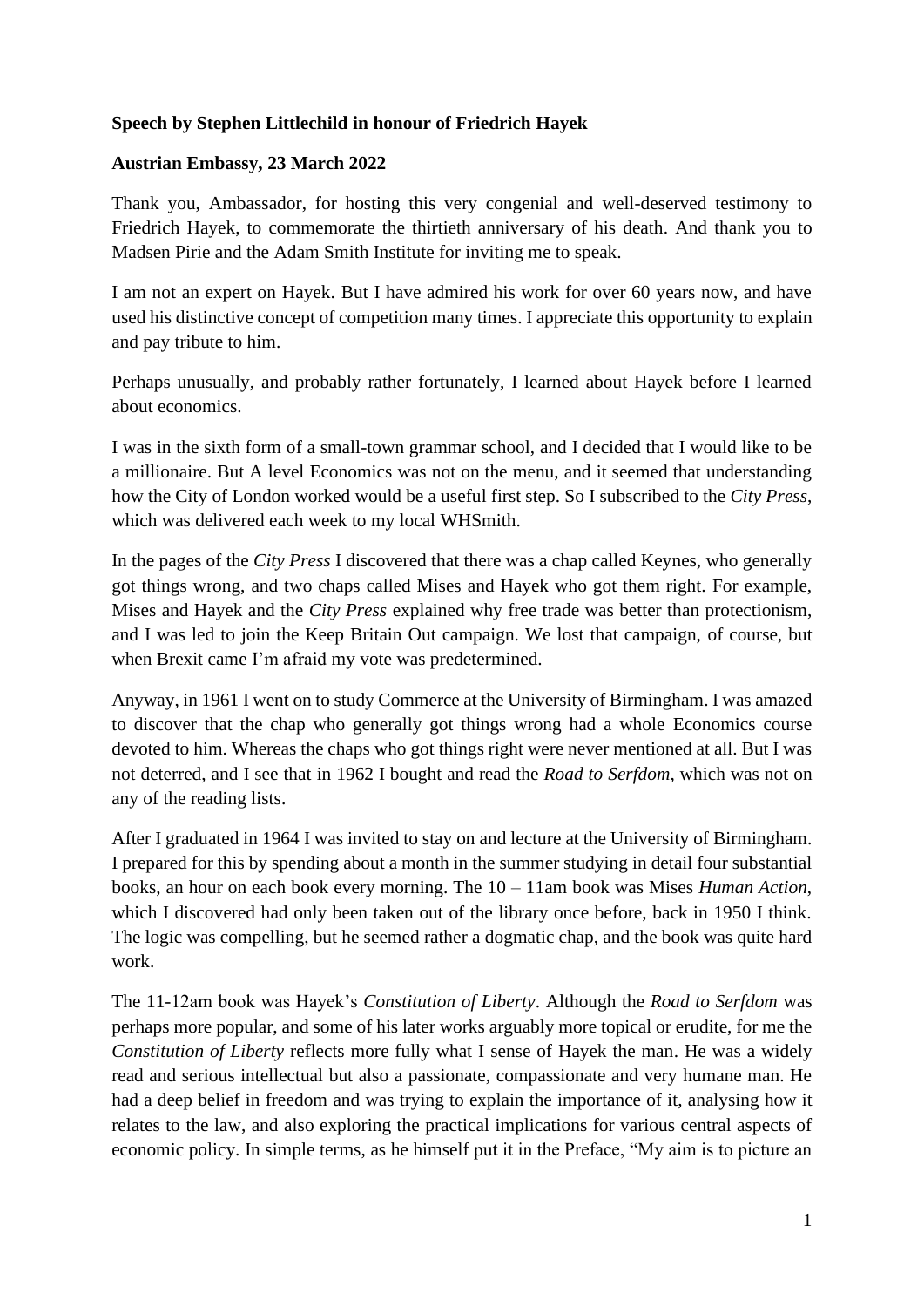## **Speech by Stephen Littlechild in honour of Friedrich Hayek**

## **Austrian Embassy, 23 March 2022**

Thank you, Ambassador, for hosting this very congenial and well-deserved testimony to Friedrich Hayek, to commemorate the thirtieth anniversary of his death. And thank you to Madsen Pirie and the Adam Smith Institute for inviting me to speak.

I am not an expert on Hayek. But I have admired his work for over 60 years now, and have used his distinctive concept of competition many times. I appreciate this opportunity to explain and pay tribute to him.

Perhaps unusually, and probably rather fortunately, I learned about Hayek before I learned about economics.

I was in the sixth form of a small-town grammar school, and I decided that I would like to be a millionaire. But A level Economics was not on the menu, and it seemed that understanding how the City of London worked would be a useful first step. So I subscribed to the *City Press*, which was delivered each week to my local WHSmith.

In the pages of the *City Press* I discovered that there was a chap called Keynes, who generally got things wrong, and two chaps called Mises and Hayek who got them right. For example, Mises and Hayek and the *City Press* explained why free trade was better than protectionism, and I was led to join the Keep Britain Out campaign. We lost that campaign, of course, but when Brexit came I'm afraid my vote was predetermined.

Anyway, in 1961 I went on to study Commerce at the University of Birmingham. I was amazed to discover that the chap who generally got things wrong had a whole Economics course devoted to him. Whereas the chaps who got things right were never mentioned at all. But I was not deterred, and I see that in 1962 I bought and read the *Road to Serfdom*, which was not on any of the reading lists.

After I graduated in 1964 I was invited to stay on and lecture at the University of Birmingham. I prepared for this by spending about a month in the summer studying in detail four substantial books, an hour on each book every morning. The 10 – 11am book was Mises *Human Action*, which I discovered had only been taken out of the library once before, back in 1950 I think. The logic was compelling, but he seemed rather a dogmatic chap, and the book was quite hard work.

The 11-12am book was Hayek's *Constitution of Liberty*. Although the *Road to Serfdom* was perhaps more popular, and some of his later works arguably more topical or erudite, for me the *Constitution of Liberty* reflects more fully what I sense of Hayek the man. He was a widely read and serious intellectual but also a passionate, compassionate and very humane man. He had a deep belief in freedom and was trying to explain the importance of it, analysing how it relates to the law, and also exploring the practical implications for various central aspects of economic policy. In simple terms, as he himself put it in the Preface, "My aim is to picture an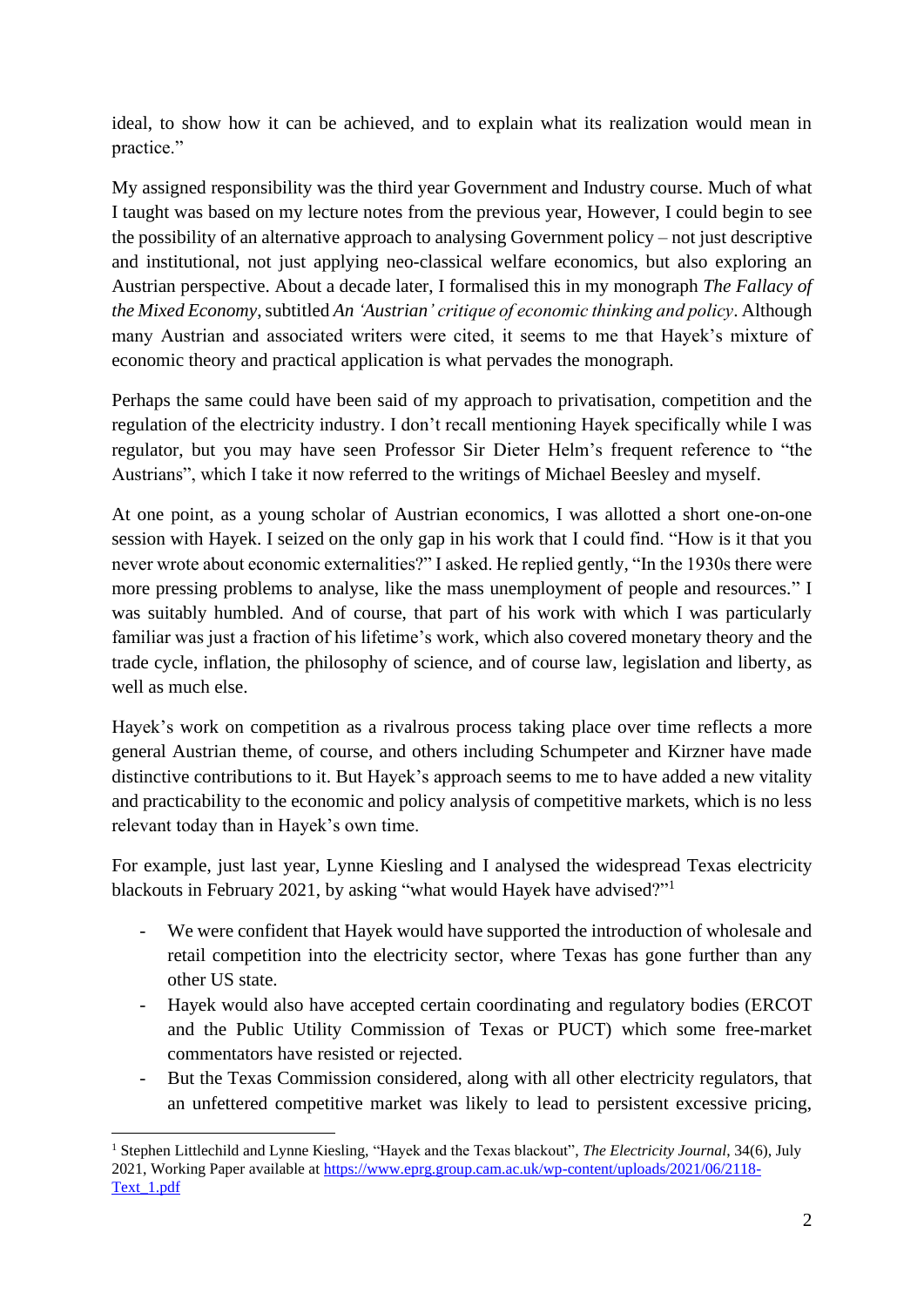ideal, to show how it can be achieved, and to explain what its realization would mean in practice."

My assigned responsibility was the third year Government and Industry course. Much of what I taught was based on my lecture notes from the previous year, However, I could begin to see the possibility of an alternative approach to analysing Government policy – not just descriptive and institutional, not just applying neo-classical welfare economics, but also exploring an Austrian perspective. About a decade later, I formalised this in my monograph *The Fallacy of the Mixed Economy*, subtitled *An 'Austrian' critique of economic thinking and policy*. Although many Austrian and associated writers were cited, it seems to me that Hayek's mixture of economic theory and practical application is what pervades the monograph.

Perhaps the same could have been said of my approach to privatisation, competition and the regulation of the electricity industry. I don't recall mentioning Hayek specifically while I was regulator, but you may have seen Professor Sir Dieter Helm's frequent reference to "the Austrians", which I take it now referred to the writings of Michael Beesley and myself.

At one point, as a young scholar of Austrian economics, I was allotted a short one-on-one session with Hayek. I seized on the only gap in his work that I could find. "How is it that you never wrote about economic externalities?" I asked. He replied gently, "In the 1930s there were more pressing problems to analyse, like the mass unemployment of people and resources." I was suitably humbled. And of course, that part of his work with which I was particularly familiar was just a fraction of his lifetime's work, which also covered monetary theory and the trade cycle, inflation, the philosophy of science, and of course law, legislation and liberty, as well as much else.

Hayek's work on competition as a rivalrous process taking place over time reflects a more general Austrian theme, of course, and others including Schumpeter and Kirzner have made distinctive contributions to it. But Hayek's approach seems to me to have added a new vitality and practicability to the economic and policy analysis of competitive markets, which is no less relevant today than in Hayek's own time.

For example, just last year, Lynne Kiesling and I analysed the widespread Texas electricity blackouts in February 2021, by asking "what would Hayek have advised?"<sup>1</sup>

- We were confident that Hayek would have supported the introduction of wholesale and retail competition into the electricity sector, where Texas has gone further than any other US state.
- Hayek would also have accepted certain coordinating and regulatory bodies (ERCOT and the Public Utility Commission of Texas or PUCT) which some free-market commentators have resisted or rejected.
- But the Texas Commission considered, along with all other electricity regulators, that an unfettered competitive market was likely to lead to persistent excessive pricing,

<sup>1</sup> Stephen Littlechild and Lynne Kiesling, "Hayek and the Texas blackout", *The Electricity Journal*, 34(6), July 2021, Working Paper available a[t https://www.eprg.group.cam.ac.uk/wp-content/uploads/2021/06/2118-](https://www.eprg.group.cam.ac.uk/wp-content/uploads/2021/06/2118-Text_1.pdf) [Text\\_1.pdf](https://www.eprg.group.cam.ac.uk/wp-content/uploads/2021/06/2118-Text_1.pdf)